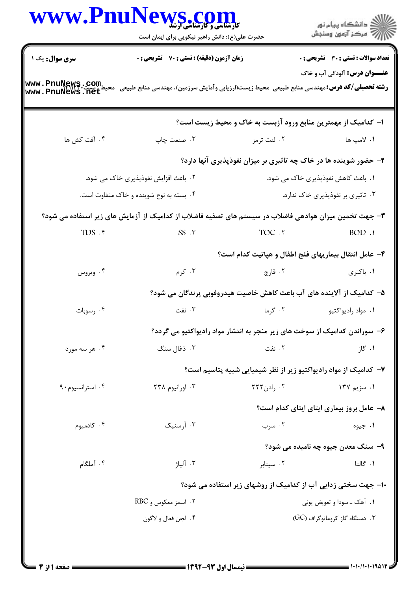|                                         | حضرت علی(ع): دانش راهبر نیکویی برای ایمان است                                                          |                                                                           | ِ<br>∭ دانشڪاه پيام نور<br>∭ مرڪز آزمون وسنڊش |
|-----------------------------------------|--------------------------------------------------------------------------------------------------------|---------------------------------------------------------------------------|-----------------------------------------------|
| <b>سری سوال :</b> یک ۱                  | <b>زمان آزمون (دقیقه) : تستی : 70 قشریحی : 0</b>                                                       |                                                                           | <b>تعداد سوالات : تستی : 30 ٪ تشریحی : 0</b>  |
| www.PnuNews.com<br>www.Pnunews.net      | <b>رشته تحصیلی/کد درس:</b> مهندسی منابع طبیعی-محیط زیست(ارزیابی وآمایش سرزمین)، مهندسی منابع طبیعی -مح |                                                                           | <b>عنـــوان درس:</b> آلودگی آب و خاک          |
|                                         |                                                                                                        | ا– کدامیک از مهمترین منابع ورود آزبست به خاک و محیط زیست است؟             |                                               |
| ۰۴ آفت کش ها                            | ۰۳ صنعت چاپ                                                                                            | ۰۲ لنت ترمز                                                               | ۰۱ لامپ ها                                    |
|                                         |                                                                                                        | ۲- حضور شوینده ها در خاک چه تاثیری بر میزان نفوذپذیری آنها دارد؟          |                                               |
|                                         | ۰۲ باعث افزایش نفوذپذیری خاک می شود.                                                                   |                                                                           | ۰۱ باعث کاهش نفوذپذیری خاک می شود.            |
| ۰۴ بسته به نوع شوینده و خاک متفاوت است. |                                                                                                        | ۰۳ تاثیری بر نفوذپذیری خاک ندارد.                                         |                                               |
|                                         | ۳– جهت تخمین میزان هوادهی فاضلاب در سیستم های تصفیه فاضلاب از کدامیک از آزمایش های زیر استفاده می شود؟ |                                                                           |                                               |
| $TDS$ .۴                                | $SS \cdot \tau$                                                                                        | TOC .Y                                                                    | BOD.1                                         |
|                                         |                                                                                                        | ۴- عامل انتقال بیماریهای فلج اطفال و هپاتیت کدام است؟                     |                                               |
| ۰۴ ویروس                                | ۰۳ کرم                                                                                                 | ۰۲ قارچ                                                                   | ۰۱ باکتری                                     |
|                                         |                                                                                                        | ۵– کدامیک از آلاینده های آب باعث کاهش خاصیت هیدروفوبی پرندگان می شود؟     |                                               |
| ۰۴ رسوبات                               | ۰۳ نفت                                                                                                 | ۰۲ گرما                                                                   | ۰۱ مواد راديواكتيو                            |
|                                         |                                                                                                        | ۶– سوزاندن کدامیک از سوخت های زیر منجر به انتشار مواد رادیواکتیو می گردد؟ |                                               |
| ۰۴ هر سه مورد                           | ۰۳ ذغال سنگ                                                                                            | ۰۲ نفت                                                                    | ۰۱ گاز                                        |
|                                         |                                                                                                        | ۷– کدامیک از مواد رادیواکتیو زیر از نظر شیمیایی شبیه پتاسیم است؟          |                                               |
| ۰۴ استرانسیوم ۹۰                        | ۰۳ اورانیوم ۲۳۸                                                                                        | ۲۲۲ رادن $\cdot$ ۲۲۲ $\cdot$                                              | ۰۱ سزیم ۱۳۷                                   |
|                                         |                                                                                                        |                                                                           | ۸- عامل بروز بیماری ایتای ایتای کدام است؟     |
| ۰۴ کادمیوم                              | ۰۳ آرسنیک                                                                                              | ۰۲ سرب                                                                    | ۰۱ جيوه                                       |
|                                         |                                                                                                        |                                                                           | ۹- سنگ معدن جیوه چه نامیده می شود؟            |
| ۰۴ آملگام                               | ۰۳ آلیاژ                                                                                               | ۰۲ سینابر                                                                 | ٠١. گالنا                                     |
|                                         |                                                                                                        | ۱۰– جهت سختی زدایی آب از کدامیک از روشهای زیر استفاده می شود؟             |                                               |
|                                         | ۲ . اسمز معکوس و RBC                                                                                   |                                                                           | ۰۱ آهک ــ سودا و تعویض یونی                   |
|                                         | ۰۴ لجن فعال و لاگون                                                                                    |                                                                           | ۰۳ دستگاه گاز کروماتوگراف (GC)                |

 $= 1.1 - 11.1 - 19.014$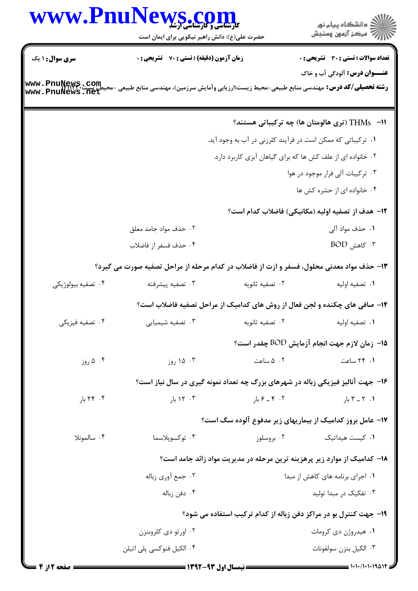|                        | www.PnuNews.com                                                                                    |                              |                                                                                 |
|------------------------|----------------------------------------------------------------------------------------------------|------------------------------|---------------------------------------------------------------------------------|
|                        | حضرت علی(ع): دانش راهبر نیکویی برای ایمان است                                                      |                              |                                                                                 |
| <b>سری سوال : ۱ یک</b> | زمان آزمون (دقیقه) : تستی : 70 ٪ تشریحی : 0                                                        |                              | <b>تعداد سوالات : تستی : 30 - تشریحی : 0</b>                                    |
| www.PnuNews.com        |                                                                                                    |                              | <b>عنـــوان درس:</b> آلودگی آب و خاک                                            |
| www.PnuNews.net        | <b>رشته تحصیلی/کد درس:</b> مهندسی منابع طبیعی-محیط زیست(ارزیابی وآمایش سرزمین)، مهندسی منابع طبیعی |                              |                                                                                 |
|                        |                                                                                                    |                              | 11− THMs (تری هالومتان ها) چه ترکیباتی هستند؟                                   |
|                        |                                                                                                    |                              | ۰۱ ترکیباتی که ممکن است در فرآیند کلرزنی در آب به وجود آید.                     |
|                        |                                                                                                    |                              | ۰۲ خانواده ای از علف کش ها که برای گیاهان آبزی کاربرد دارد.                     |
|                        |                                                                                                    |                              | ۰۳ ترکیبات آلی فرار موجود در هوا                                                |
|                        |                                                                                                    |                              | ۰۴ خانواده ای از حشره کش ها                                                     |
|                        |                                                                                                    |                              | ۱۲– هدف از تصفیه اولیه (مکانیکی) فاضلاب کدام است؟                               |
|                        | ۰۲ حذف مواد جامد معلق                                                                              |                              | ۰۱ حذف مواد آلی                                                                 |
|                        | ۰۴ حذف فسفر از فاضلاب                                                                              |                              | $BOD$ کاهش BOD .                                                                |
|                        | ۱۳- حذف مواد معدنی محلول، فسفر و ازت از فاضلاب در کدام مرحله از مراحل تصفیه صورت می گیرد؟          |                              |                                                                                 |
| ۰۴ تصفيه بيولوژيكي     | ۰۳ تصفيه پيشرفته                                                                                   | ۰۲ تصفيه ثانويه              | ٠١. تصفيه اوليه                                                                 |
|                        |                                                                                                    |                              | ۱۴- صافی های چکنده و لجن فعال از روش های کدامیک از مراحل تصفیه فاضلاب است؟      |
| ۴. تصفیه فیزیکی        | ۰۳ تصفیه شیمیایی                                                                                   | ۰۲ تصفيه ثانويه              | ٠١ تصفيه اوليه                                                                  |
|                        |                                                                                                    |                              | ه ا− زمان لازم جهت انجام آزمایش BOD چقدر است؟                                   |
| ۰۴ ۵ روز               | ۰۳ ۱۵ روز                                                                                          | ۰۲ هساعت                     | ۰۱ ۲۴ ساعت                                                                      |
|                        |                                                                                                    |                              | ۱۶- جهت آنالیز فیزیکی زباله در شهرهای بزرگ چه تعداد نمونه گیری در سال نیاز است؟ |
| ۰۴ ۲۴ بار              | $,$ ۲۰۲ با $\cdot$                                                                                 | ۰۲ - ۴ _ ۶ بار $\mathcal{S}$ | ۰۱ $Y - Y$ بار                                                                  |
|                        |                                                                                                    |                              | ۱۷– عامل بروز کدامیک از بیماریهای زیر مدفوع آلوده سگ است؟                       |
| ۰۴ سالمونلا            | ۰۳ توکسوپلاسما                                                                                     | ۰۲ بروسلوز                   | ۰۱ کیست هیداتیک                                                                 |
|                        |                                                                                                    |                              | ۱۸– کدامیک از موارد زیر پرهزینه ترین مرحله در مدیریت مواد زائد جامد است؟        |
| ۰۲ جمع آوري زباله      |                                                                                                    |                              | ۰۱ اجرای برنامه های کاهش از مبدا                                                |
|                        | ۰۴ دفن زباله                                                                                       |                              | ۰۳ تفکیک در مبدا تولید                                                          |
|                        |                                                                                                    |                              | ۱۹- جهت کنترل بو در مراکز دفن زباله از کدام ترکیب استفاده می شود؟               |
|                        | ۰۲ اورتو دی کلروبنزن                                                                               |                              | ۰۱ هیدروژن دی کرومات                                                            |
|                        | ۰۴ الکیل فنوکسی پلی اتیلن                                                                          |                              | ٠٣ الكيل بنزن سولفونات                                                          |
|                        |                                                                                                    |                              |                                                                                 |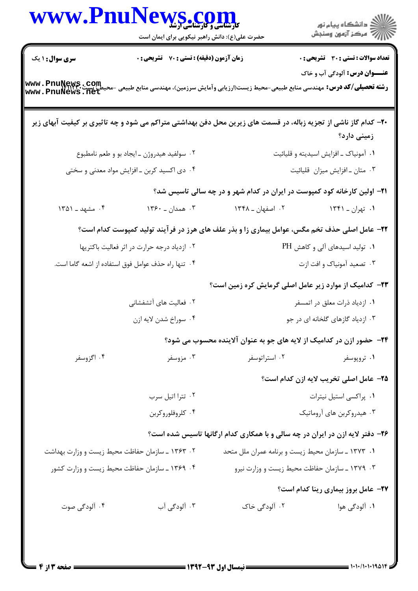| WWW.PnuNews.com                                 | حضرت علی(ع): دانش راهبر نیکویی برای ایمان است       |                                                                                                                    | الان دانشگاه پيام نور<br>الان مرکز آزمون وسنجش |
|-------------------------------------------------|-----------------------------------------------------|--------------------------------------------------------------------------------------------------------------------|------------------------------------------------|
| <b>سری سوال : ۱ یک</b>                          | زمان آزمون (دقیقه) : تستی : 70 گشریحی : 0           |                                                                                                                    | تعداد سوالات : تستي : 30 - تشريحي : 0          |
| www.PnuNews.com<br>www.PnuNews.net              |                                                     | <b>رشته تحصیلی/کد درس:</b> مهندسی منابع طبیعی-محیط زیست(ارزیابی وآمایش سرزمین)، مهندسی منابع طبیعی -م <del>ه</del> | <b>عنـــوان درس:</b> آلودگی آب و خاک           |
|                                                 |                                                     | +۲- کدام گاز ناشی از تجزیه زباله، در قسمت های زیرین محل دفن بهداشتی متراکم می شود و چه تاثیری بر کیفیت آبهای زیر   | زمینی دارد؟                                    |
| ۰۲ سولفید هیدروژن ـ ایجاد بو و طعم نامطبوع      |                                                     | ۰۱ آمونیاک ـ افزایش اسیدیته و قلیائیت                                                                              |                                                |
| ۰۴ دی اکسید کربن ـ افزایش مواد معدنی و سختی     |                                                     |                                                                                                                    | ۰۳ متان ـ افزايش ميزان قليائيت                 |
|                                                 |                                                     | <b>۲۱</b> – اولین کارخانه کود کمپوست در ایران در کدام شهر و در چه سالی تاسیس شد؟                                   |                                                |
| ۰۴ مشهد ـ ۱۳۵۱                                  | ۰۳ همدان ـ ۱۳۶۰                                     | ۰۲ اصفهان ــ ۱۳۴۸                                                                                                  | ۰۱ تهران ـ ۱۳۴۱                                |
|                                                 |                                                     | ۲۲- عامل اصلی حذف تخم مگس، عوامل بیماری زا و بذر علف های هرز در فرآیند تولید کمپوست کدام است؟                      |                                                |
|                                                 | ۰۲ ازدیاد درجه حرارت در اثر فعالیت باکتریها         |                                                                                                                    | ۰۱ تولید اسیدهای آلی و کاهش PH                 |
|                                                 | ۰۴ تنها راه حذف عوامل فوق استفاده از اشعه گاما است. |                                                                                                                    | ۰۳ تصعید آمونیاک و افت ازت                     |
|                                                 |                                                     | <b>۲۳</b> – کدامیک از موارد زیر عامل اصلی گرمایش کره زمین است؟                                                     |                                                |
|                                                 | ۰۲ فعالیت های آتشفشانی                              |                                                                                                                    | ۰۱ ازدیاد ذرات معلق در اتمسفر                  |
|                                                 | ۰۴ سوراخ شدن لايه ازن                               |                                                                                                                    | ۰۳ ازدیاد گازهای گلخانه ای در جو               |
|                                                 |                                                     | ۲۴– حضور ازن در کدامیک از لایه های جو به عنوان آلاینده محسوب می شود؟                                               |                                                |
| ۰۴ اگزوسفر                                      | ۰۳ مزوسفر                                           | ۰۲ استراتوسفر                                                                                                      | ۰۱ تروپوسفر                                    |
|                                                 |                                                     |                                                                                                                    | ۲۵- عامل اصلی تخریب لایه ازن کدام است؟         |
|                                                 | ٠٢ تترا اتيل سرب                                    |                                                                                                                    | ٠١. پراکسي استيل نيترات                        |
|                                                 | ۰۴ کلروفلوروکربن                                    |                                                                                                                    | ۰۳ هیدروکربن های آروماتیک                      |
|                                                 |                                                     | ۲۶- دفتر لایه ازن در ایران در چه سالی و با همکاری کدام ارگانها تاسیس شده است؟                                      |                                                |
| ۰۲ ۱۳۶۳ ـ سازمان حفاظت محیط زیست و وزارت بهداشت |                                                     | ۰۱ ۱۳۷۳ ـ سازمان محیط زیست و برنامه عمران ملل متحد                                                                 |                                                |
| ۰۴ ۱۳۶۹ ـ سازمان حفاظت محیط زیست و وزارت کشور   |                                                     | ۰۳ ـ ۱۳۷۹ ـ سازمان حفاظت محیط زیست و وزارت نیرو                                                                    |                                                |
|                                                 |                                                     |                                                                                                                    | <b>37- عامل بروز بیماری رینا کدام است</b> ؟    |
| ۰۴ آلودگی صوت                                   | ۰۳ آلودگی آب                                        | ۰۲ آلودگی خاک                                                                                                      | ۰۱ آلودگی هوا                                  |
|                                                 |                                                     |                                                                                                                    |                                                |
|                                                 |                                                     |                                                                                                                    |                                                |
|                                                 |                                                     |                                                                                                                    |                                                |